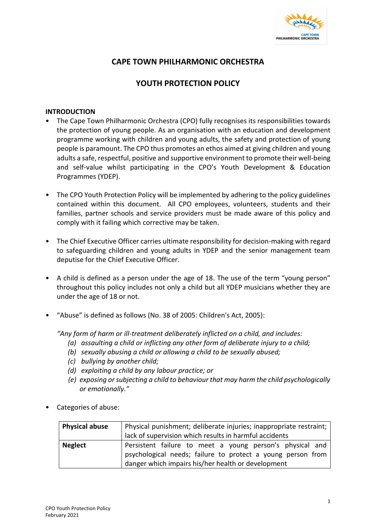

## **CAPE TOWN PHILHARMONIC ORCHESTRA**

## **YOUTH PROTECTION POLICY**

#### **INTRODUCTION**

- The Cape Town Philharmonic Orchestra (CPO) fully recognises its responsibilities towards the protection of young people. As an organisation with an education and development programme working with children and young adults, the safety and protection of young people is paramount. The CPO thus promotes an ethos aimed at giving children and young adults a safe, respectful, positive and supportive environment to promote their well-being and self-value whilst participating in the CPO's Youth Development & Education Programmes (YDEP).
- The CPO Youth Protection Policy will be implemented by adhering to the policy guidelines contained within this document. All CPO employees, volunteers, students and their families, partner schools and service providers must be made aware of this policy and comply with it failing which corrective may be taken.
- The Chief Executive Officer carries ultimate responsibility for decision-making with regard to safeguarding children and young adults in YDEP and the senior management team deputise for the Chief Executive Officer.
- A child is defined as a person under the age of 18. The use of the term "young person" throughout this policy includes not only a child but all YDEP musicians whether they are under the age of 18 or not.
- "Abuse" is defined as follows (No. 38 of 2005: Children's Act, 2005):

*"Any form of harm or ill-treatment deliberately inflicted on a child, and includes:*

- *(a) assaulting a child or inflicting any other form of deliberate injury to a child;*
- *(b) sexually abusing a child or allowing a child to be sexually abused;*
- *(c) bullying by another child;*
- *(d) exploiting a child by any labour practice; or*
- *(e) exposing or subjecting a child to behaviour that may harm the child psychologically or emotionally."*
- Categories of abuse:

| <b>Physical abuse</b> | Physical punishment; deliberate injuries; inappropriate restraint; |  |  |  |
|-----------------------|--------------------------------------------------------------------|--|--|--|
|                       | lack of supervision which results in harmful accidents             |  |  |  |
| <b>Neglect</b>        | Persistent failure to meet a young person's physical and           |  |  |  |
|                       | psychological needs; failure to protect a young person from        |  |  |  |
|                       | danger which impairs his/her health or development                 |  |  |  |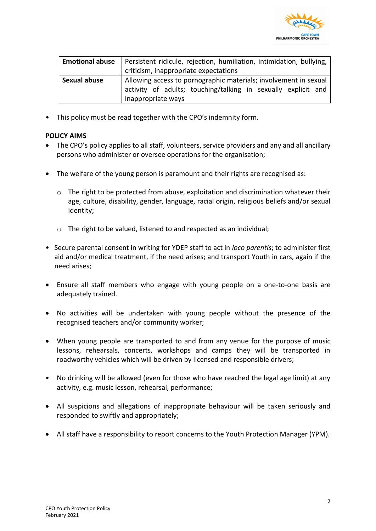

| <b>Emotional abuse</b> | Persistent ridicule, rejection, humiliation, intimidation, bullying, |  |  |  |  |
|------------------------|----------------------------------------------------------------------|--|--|--|--|
|                        | criticism, inappropriate expectations                                |  |  |  |  |
| <b>Sexual abuse</b>    | Allowing access to pornographic materials; involvement in sexual     |  |  |  |  |
|                        | activity of adults; touching/talking in sexually explicit and        |  |  |  |  |
|                        | inappropriate ways                                                   |  |  |  |  |

• This policy must be read together with the CPO's indemnity form.

#### **POLICY AIMS**

- The CPO's policy applies to all staff, volunteers, service providers and any and all ancillary persons who administer or oversee operations for the organisation;
- The welfare of the young person is paramount and their rights are recognised as:
	- $\circ$  The right to be protected from abuse, exploitation and discrimination whatever their age, culture, disability, gender, language, racial origin, religious beliefs and/or sexual identity;
	- o The right to be valued, listened to and respected as an individual;
- Secure parental consent in writing for YDEP staff to act in *loco parentis*; to administer first aid and/or medical treatment, if the need arises; and transport Youth in cars, again if the need arises;
- Ensure all staff members who engage with young people on a one-to-one basis are adequately trained.
- No activities will be undertaken with young people without the presence of the recognised teachers and/or community worker;
- When young people are transported to and from any venue for the purpose of music lessons, rehearsals, concerts, workshops and camps they will be transported in roadworthy vehicles which will be driven by licensed and responsible drivers;
- No drinking will be allowed (even for those who have reached the legal age limit) at any activity, e.g. music lesson, rehearsal, performance;
- All suspicions and allegations of inappropriate behaviour will be taken seriously and responded to swiftly and appropriately;
- All staff have a responsibility to report concerns to the Youth Protection Manager (YPM).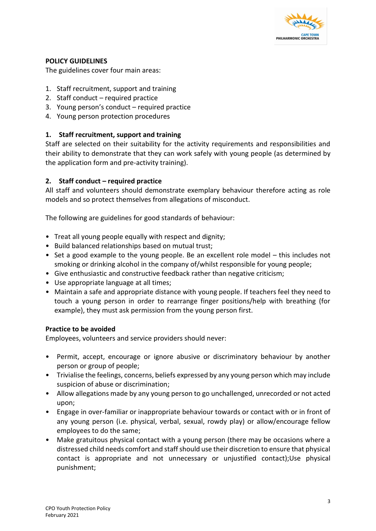

#### **POLICY GUIDELINES**

The guidelines cover four main areas:

- 1. Staff recruitment, support and training
- 2. Staff conduct required practice
- 3. Young person's conduct required practice
- 4. Young person protection procedures

## **1. Staff recruitment, support and training**

Staff are selected on their suitability for the activity requirements and responsibilities and their ability to demonstrate that they can work safely with young people (as determined by the application form and pre-activity training).

## **2. Staff conduct – required practice**

All staff and volunteers should demonstrate exemplary behaviour therefore acting as role models and so protect themselves from allegations of misconduct.

The following are guidelines for good standards of behaviour:

- Treat all young people equally with respect and dignity;
- Build balanced relationships based on mutual trust;
- Set a good example to the young people. Be an excellent role model this includes not smoking or drinking alcohol in the company of/whilst responsible for young people;
- Give enthusiastic and constructive feedback rather than negative criticism;
- Use appropriate language at all times;
- Maintain a safe and appropriate distance with young people. If teachers feel they need to touch a young person in order to rearrange finger positions/help with breathing (for example), they must ask permission from the young person first.

#### **Practice to be avoided**

Employees, volunteers and service providers should never:

- Permit, accept, encourage or ignore abusive or discriminatory behaviour by another person or group of people;
- Trivialise the feelings, concerns, beliefs expressed by any young person which may include suspicion of abuse or discrimination;
- Allow allegations made by any young person to go unchallenged, unrecorded or not acted upon;
- Engage in over-familiar or inappropriate behaviour towards or contact with or in front of any young person (i.e. physical, verbal, sexual, rowdy play) or allow/encourage fellow employees to do the same;
- Make gratuitous physical contact with a young person (there may be occasions where a distressed child needs comfort and staff should use their discretion to ensure that physical contact is appropriate and not unnecessary or unjustified contact);Use physical punishment;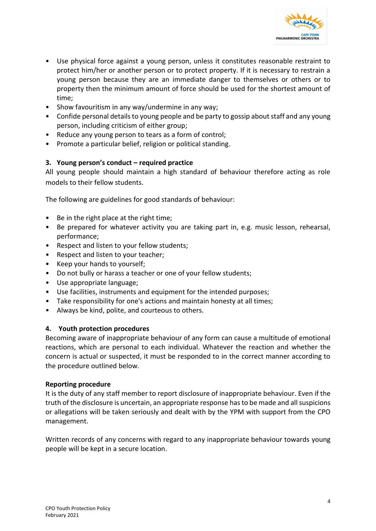

- Use physical force against a young person, unless it constitutes reasonable restraint to protect him/her or another person or to protect property. If it is necessary to restrain a young person because they are an immediate danger to themselves or others or to property then the minimum amount of force should be used for the shortest amount of time;
- Show favouritism in any way/undermine in any way;
- Confide personal details to young people and be party to gossip about staff and any young person, including criticism of either group;
- Reduce any young person to tears as a form of control;
- Promote a particular belief, religion or political standing.

#### **3. Young person's conduct – required practice**

All young people should maintain a high standard of behaviour therefore acting as role models to their fellow students.

The following are guidelines for good standards of behaviour:

- Be in the right place at the right time;
- Be prepared for whatever activity you are taking part in, e.g. music lesson, rehearsal, performance;
- Respect and listen to your fellow students;
- Respect and listen to your teacher;
- Keep your hands to yourself;
- Do not bully or harass a teacher or one of your fellow students;
- Use appropriate language;
- Use facilities, instruments and equipment for the intended purposes;
- Take responsibility for one's actions and maintain honesty at all times;
- Always be kind, polite, and courteous to others.

#### **4. Youth protection procedures**

Becoming aware of inappropriate behaviour of any form can cause a multitude of emotional reactions, which are personal to each individual. Whatever the reaction and whether the concern is actual or suspected, it must be responded to in the correct manner according to the procedure outlined below.

#### **Reporting procedure**

It is the duty of any staff member to report disclosure of inappropriate behaviour. Even if the truth of the disclosure is uncertain, an appropriate response has to be made and all suspicions or allegations will be taken seriously and dealt with by the YPM with support from the CPO management.

Written records of any concerns with regard to any inappropriate behaviour towards young people will be kept in a secure location.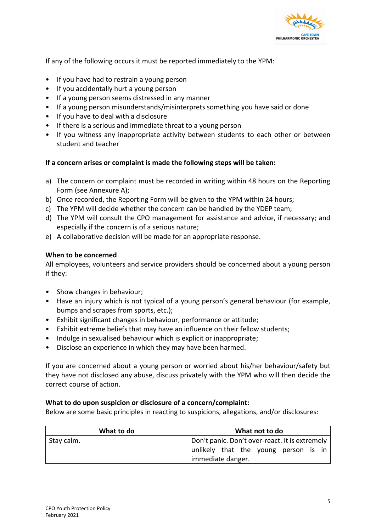

If any of the following occurs it must be reported immediately to the YPM:

- If you have had to restrain a young person
- If you accidentally hurt a young person
- If a young person seems distressed in any manner
- If a young person misunderstands/misinterprets something you have said or done
- If you have to deal with a disclosure
- If there is a serious and immediate threat to a young person
- If you witness any inappropriate activity between students to each other or between student and teacher

## **If a concern arises or complaint is made the following steps will be taken:**

- a) The concern or complaint must be recorded in writing within 48 hours on the Reporting Form (see Annexure A);
- b) Once recorded, the Reporting Form will be given to the YPM within 24 hours;
- c) The YPM will decide whether the concern can be handled by the YDEP team;
- d) The YPM will consult the CPO management for assistance and advice, if necessary; and especially if the concern is of a serious nature;
- e) A collaborative decision will be made for an appropriate response.

#### **When to be concerned**

All employees, volunteers and service providers should be concerned about a young person if they:

- Show changes in behaviour;
- Have an injury which is not typical of a young person's general behaviour (for example, bumps and scrapes from sports, etc.);
- Exhibit significant changes in behaviour, performance or attitude;
- Exhibit extreme beliefs that may have an influence on their fellow students;
- Indulge in sexualised behaviour which is explicit or inappropriate;
- Disclose an experience in which they may have been harmed.

If you are concerned about a young person or worried about his/her behaviour/safety but they have not disclosed any abuse, discuss privately with the YPM who will then decide the correct course of action.

#### **What to do upon suspicion or disclosure of a concern/complaint:**

Below are some basic principles in reacting to suspicions, allegations, and/or disclosures:

| What to do | What not to do                                                                                              |  |  |
|------------|-------------------------------------------------------------------------------------------------------------|--|--|
| Stay calm. | Don't panic. Don't over-react. It is extremely<br>unlikely that the young person is in<br>immediate danger. |  |  |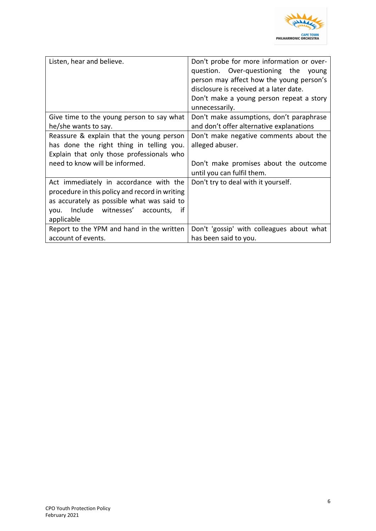

| Listen, hear and believe.                                                                                                                                                                       | Don't probe for more information or over-<br>question. Over-questioning the<br>young<br>person may affect how the young person's<br>disclosure is received at a later date.<br>Don't make a young person repeat a story<br>unnecessarily. |  |  |
|-------------------------------------------------------------------------------------------------------------------------------------------------------------------------------------------------|-------------------------------------------------------------------------------------------------------------------------------------------------------------------------------------------------------------------------------------------|--|--|
| Give time to the young person to say what<br>he/she wants to say.                                                                                                                               | Don't make assumptions, don't paraphrase<br>and don't offer alternative explanations                                                                                                                                                      |  |  |
| Reassure & explain that the young person<br>has done the right thing in telling you.<br>Explain that only those professionals who<br>need to know will be informed.                             | Don't make negative comments about the<br>alleged abuser.<br>Don't make promises about the outcome                                                                                                                                        |  |  |
|                                                                                                                                                                                                 | until you can fulfil them.                                                                                                                                                                                                                |  |  |
| Act immediately in accordance with the<br>procedure in this policy and record in writing<br>as accurately as possible what was said to<br>Include witnesses' accounts, if<br>vou.<br>applicable | Don't try to deal with it yourself.                                                                                                                                                                                                       |  |  |
| Report to the YPM and hand in the written<br>account of events.                                                                                                                                 | Don't 'gossip' with colleagues about what<br>has been said to you.                                                                                                                                                                        |  |  |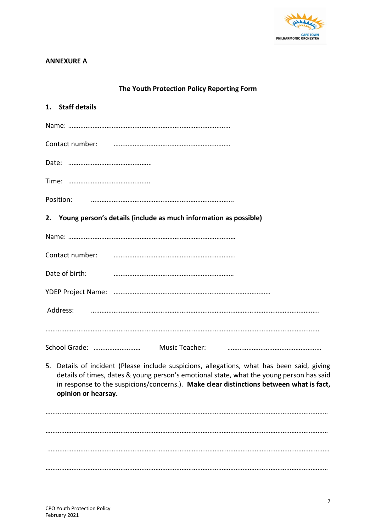

## **ANNEXURE A**

| The Youth Protection Policy Reporting Form                                                                                                                                                                                                                                                               |  |  |
|----------------------------------------------------------------------------------------------------------------------------------------------------------------------------------------------------------------------------------------------------------------------------------------------------------|--|--|
| 1. Staff details                                                                                                                                                                                                                                                                                         |  |  |
|                                                                                                                                                                                                                                                                                                          |  |  |
| Contact number: инспектром политической политической политической политической политической политической политической                                                                                                                                                                                    |  |  |
|                                                                                                                                                                                                                                                                                                          |  |  |
|                                                                                                                                                                                                                                                                                                          |  |  |
|                                                                                                                                                                                                                                                                                                          |  |  |
| 2. Young person's details (include as much information as possible)                                                                                                                                                                                                                                      |  |  |
|                                                                                                                                                                                                                                                                                                          |  |  |
|                                                                                                                                                                                                                                                                                                          |  |  |
| Date of birth:                                                                                                                                                                                                                                                                                           |  |  |
|                                                                                                                                                                                                                                                                                                          |  |  |
|                                                                                                                                                                                                                                                                                                          |  |  |
|                                                                                                                                                                                                                                                                                                          |  |  |
|                                                                                                                                                                                                                                                                                                          |  |  |
| 5. Details of incident (Please include suspicions, allegations, what has been said, giving<br>details of times, dates & young person's emotional state, what the young person has said<br>in response to the suspicions/concerns.). Make clear distinctions between what is fact,<br>opinion or hearsay. |  |  |
|                                                                                                                                                                                                                                                                                                          |  |  |

………………………………………………………………………………………………………………………………………………

………………………………………………………………………………………………………………………………………………